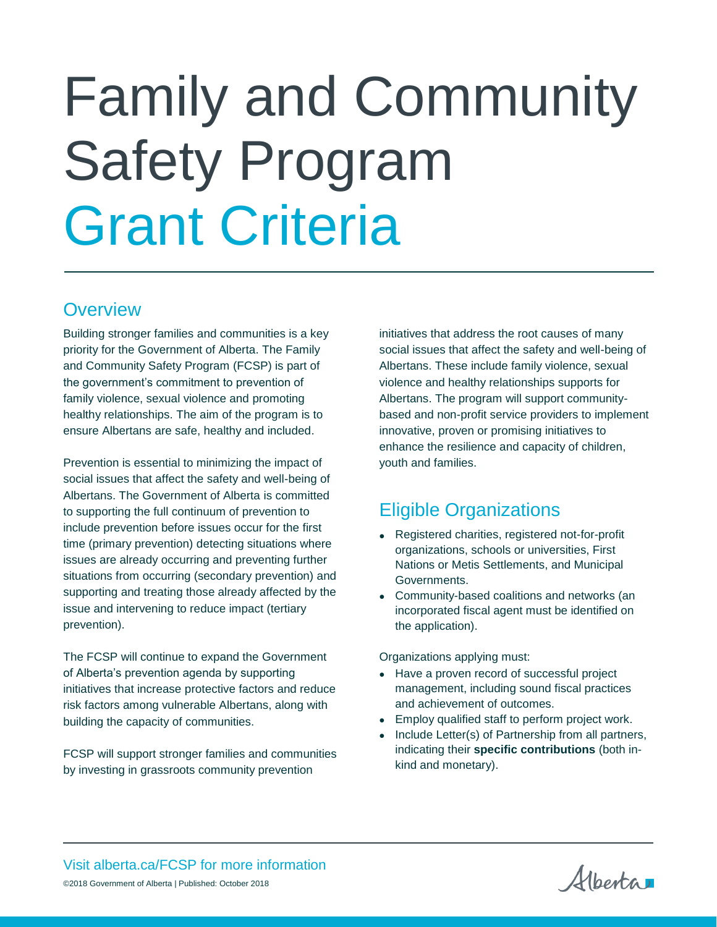# Family and Community Safety Program Grant Criteria

#### **Overview**

Building stronger families and communities is a key priority for the Government of Alberta. The Family and Community Safety Program (FCSP) is part of the government's commitment to prevention of family violence, sexual violence and promoting healthy relationships. The aim of the program is to ensure Albertans are safe, healthy and included.

Prevention is essential to minimizing the impact of social issues that affect the safety and well-being of Albertans. The Government of Alberta is committed to supporting the full continuum of prevention to include prevention before issues occur for the first time (primary prevention) detecting situations where issues are already occurring and preventing further situations from occurring (secondary prevention) and supporting and treating those already affected by the issue and intervening to reduce impact (tertiary prevention).

The FCSP will continue to expand the Government of Alberta's prevention agenda by supporting initiatives that increase protective factors and reduce risk factors among vulnerable Albertans, along with building the capacity of communities.

FCSP will support stronger families and communities by investing in grassroots community prevention

initiatives that address the root causes of many social issues that affect the safety and well-being of Albertans. These include family violence, sexual violence and healthy relationships supports for Albertans. The program will support communitybased and non-profit service providers to implement innovative, proven or promising initiatives to enhance the resilience and capacity of children, youth and families.

# Eligible Organizations

- Registered charities, registered not-for-profit organizations, schools or universities, First Nations or Metis Settlements, and Municipal Governments.
- Community-based coalitions and networks (an incorporated fiscal agent must be identified on the application).

Organizations applying must:

- Have a proven record of successful project management, including sound fiscal practices and achievement of outcomes.
- Employ qualified staff to perform project work.
- Include Letter(s) of Partnership from all partners, indicating their **specific contributions** (both inkind and monetary).

Alberta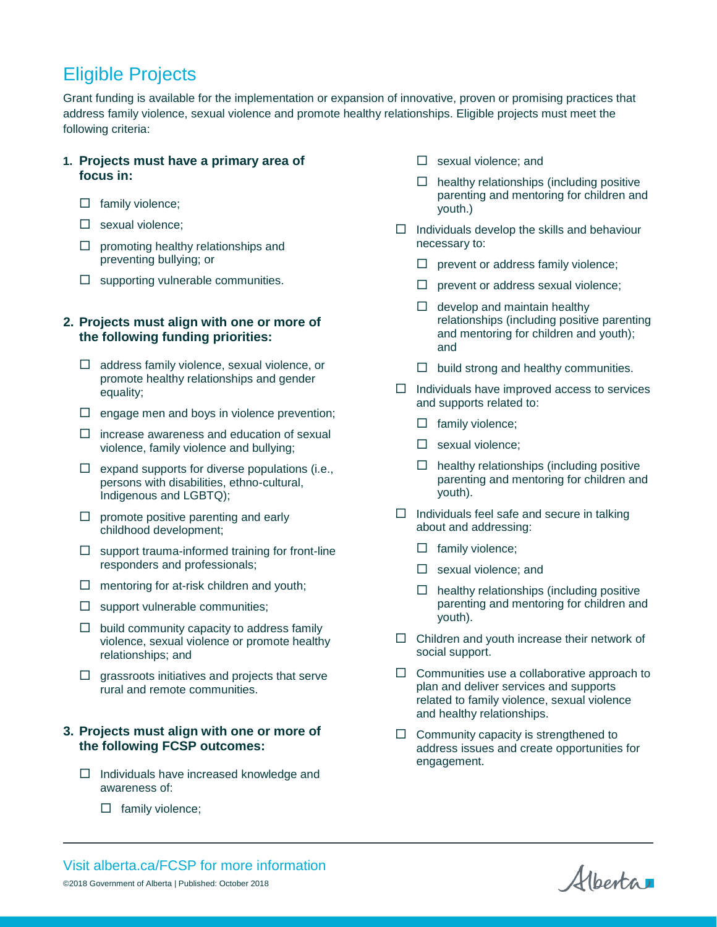#### Eligible Projects

Grant funding is available for the implementation or expansion of innovative, proven or promising practices that address family violence, sexual violence and promote healthy relationships. Eligible projects must meet the following criteria:

#### **1. Projects must have a primary area of focus in:**

- $\Box$  family violence;
- $\square$  sexual violence;
- $\Box$  promoting healthy relationships and preventing bullying; or
- $\Box$  supporting vulnerable communities.

#### **2. Projects must align with one or more of the following funding priorities:**

- □ address family violence, sexual violence, or promote healthy relationships and gender equality;
- $\Box$  engage men and boys in violence prevention;
- $\Box$  increase awareness and education of sexual violence, family violence and bullying;
- $\Box$  expand supports for diverse populations (i.e., persons with disabilities, ethno-cultural, Indigenous and LGBTQ);
- $\Box$  promote positive parenting and early childhood development;
- $\Box$  support trauma-informed training for front-line responders and professionals;
- $\Box$  mentoring for at-risk children and youth;
- $\square$  support vulnerable communities;
- $\Box$  build community capacity to address family violence, sexual violence or promote healthy relationships; and
- $\Box$  grassroots initiatives and projects that serve rural and remote communities.

#### **3. Projects must align with one or more of the following FCSP outcomes:**

- $\Box$  Individuals have increased knowledge and awareness of:
	- $\Box$  family violence;
- $\square$  sexual violence; and
- $\Box$  healthy relationships (including positive parenting and mentoring for children and youth.)
- $\Box$  Individuals develop the skills and behaviour necessary to:
	- $\Box$  prevent or address family violence;
	- $\Box$  prevent or address sexual violence;
	- $\Box$  develop and maintain healthy relationships (including positive parenting and mentoring for children and youth); and
	- $\Box$  build strong and healthy communities.
- $\Box$  Individuals have improved access to services and supports related to:
	- $\Box$  family violence;
	- $\square$  sexual violence;
	- $\Box$  healthy relationships (including positive parenting and mentoring for children and youth).
- $\Box$  Individuals feel safe and secure in talking about and addressing:
	- $\Box$  family violence;
	- $\square$  sexual violence; and
	- $\Box$  healthy relationships (including positive parenting and mentoring for children and youth).
- $\Box$  Children and youth increase their network of social support.
- $\Box$  Communities use a collaborative approach to plan and deliver services and supports related to family violence, sexual violence and healthy relationships.
- $\Box$  Community capacity is strengthened to address issues and create opportunities for engagement.

Visit alberta.ca/FCSP for more information

Alberta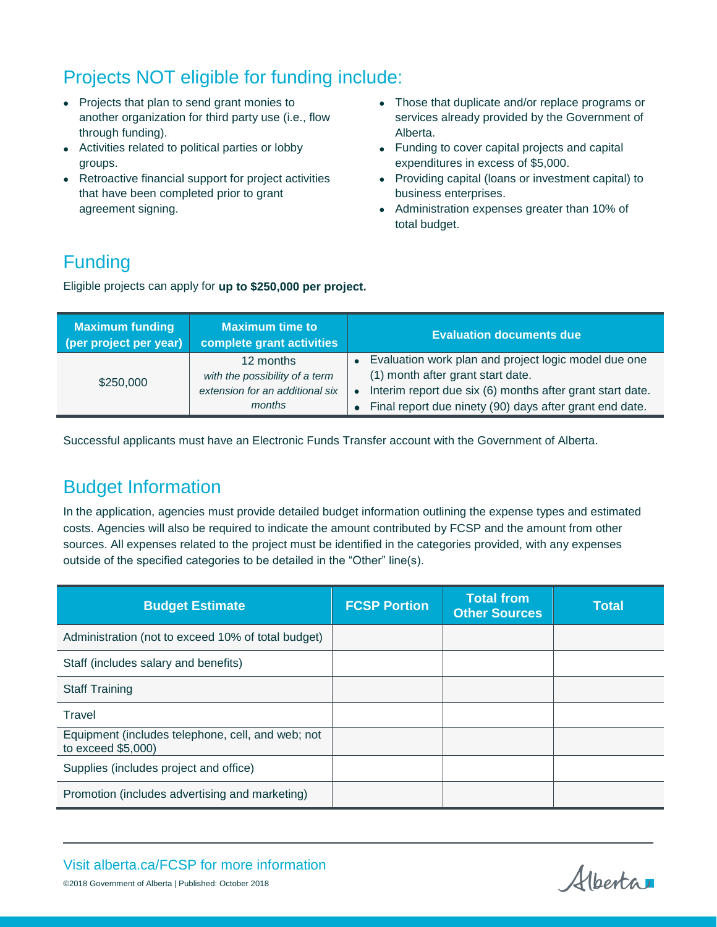# Projects NOT eligible for funding include:

- Projects that plan to send grant monies to another organization for third party use (i.e., flow through funding).
- Activities related to political parties or lobby groups.
- Retroactive financial support for project activities that have been completed prior to grant agreement signing.
- Those that duplicate and/or replace programs or services already provided by the Government of Alberta.
- Funding to cover capital projects and capital expenditures in excess of \$5,000.
- Providing capital (loans or investment capital) to business enterprises.
- Administration expenses greater than 10% of total budget.

# Funding

Eligible projects can apply for **up to \$250,000 per project.** 

| <b>Maximum funding</b><br>(per project per year) | <b>Maximum time to</b><br>complete grant activities | <b>Evaluation documents due</b>                           |
|--------------------------------------------------|-----------------------------------------------------|-----------------------------------------------------------|
| \$250,000                                        | 12 months                                           | Evaluation work plan and project logic model due one      |
|                                                  | with the possibility of a term                      | (1) month after grant start date.                         |
|                                                  | extension for an additional six                     | Interim report due six (6) months after grant start date. |
|                                                  | months                                              | Final report due ninety (90) days after grant end date.   |

Successful applicants must have an Electronic Funds Transfer account with the Government of Alberta.

## Budget Information

In the application, agencies must provide detailed budget information outlining the expense types and estimated costs. Agencies will also be required to indicate the amount contributed by FCSP and the amount from other sources. All expenses related to the project must be identified in the categories provided, with any expenses outside of the specified categories to be detailed in the "Other" line(s).

| <b>Budget Estimate</b>                                                  | <b>FCSP Portion</b> | <b>Total from</b><br><b>Other Sources</b> | <b>Total</b> |
|-------------------------------------------------------------------------|---------------------|-------------------------------------------|--------------|
| Administration (not to exceed 10% of total budget)                      |                     |                                           |              |
| Staff (includes salary and benefits)                                    |                     |                                           |              |
| <b>Staff Training</b>                                                   |                     |                                           |              |
| Travel                                                                  |                     |                                           |              |
| Equipment (includes telephone, cell, and web; not<br>to exceed \$5,000) |                     |                                           |              |
| Supplies (includes project and office)                                  |                     |                                           |              |
| Promotion (includes advertising and marketing)                          |                     |                                           |              |

Alberta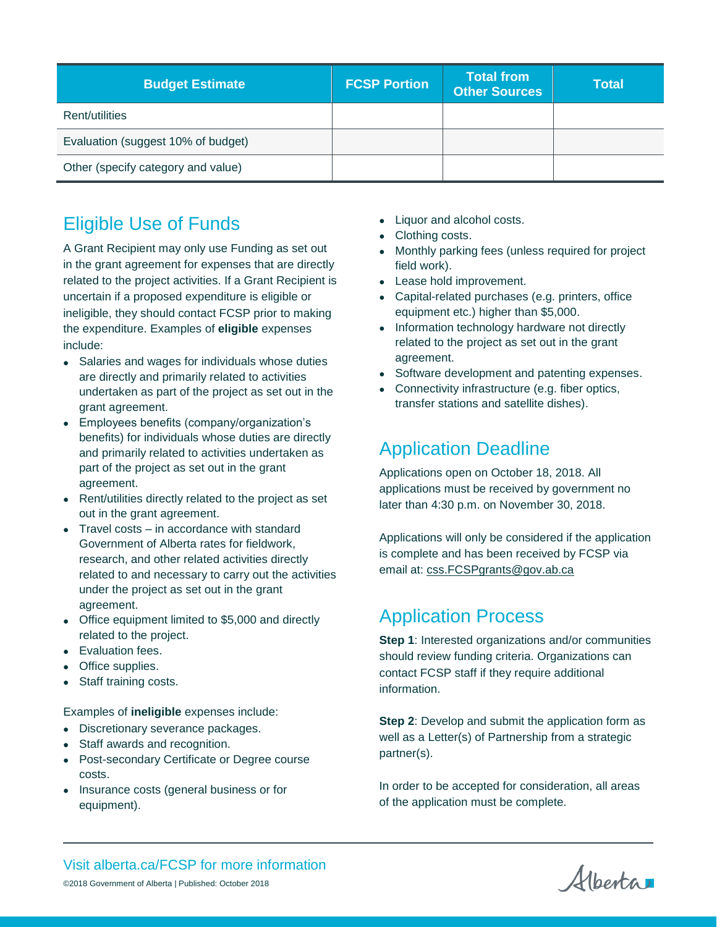| <b>Budget Estimate</b>             | <b>FCSP Portion</b> | <b>Total from</b><br><b>Other Sources</b> | <b>Total</b> |
|------------------------------------|---------------------|-------------------------------------------|--------------|
| Rent/utilities                     |                     |                                           |              |
| Evaluation (suggest 10% of budget) |                     |                                           |              |
| Other (specify category and value) |                     |                                           |              |

#### Eligible Use of Funds

A Grant Recipient may only use Funding as set out in the grant agreement for expenses that are directly related to the project activities. If a Grant Recipient is uncertain if a proposed expenditure is eligible or ineligible, they should contact FCSP prior to making the expenditure. Examples of **eligible** expenses include:

- Salaries and wages for individuals whose duties are directly and primarily related to activities undertaken as part of the project as set out in the grant agreement.
- Employees benefits (company/organization's benefits) for individuals whose duties are directly and primarily related to activities undertaken as part of the project as set out in the grant agreement.
- Rent/utilities directly related to the project as set out in the grant agreement.
- Travel costs in accordance with standard Government of Alberta rates for fieldwork, research, and other related activities directly related to and necessary to carry out the activities under the project as set out in the grant agreement.
- Office equipment limited to \$5,000 and directly related to the project.
- Evaluation fees.
- **Office supplies.**
- Staff training costs.

Examples of **ineligible** expenses include:

- Discretionary severance packages.
- Staff awards and recognition.
- Post-secondary Certificate or Degree course costs.
- Insurance costs (general business or for equipment).
- Liquor and alcohol costs.
- Clothing costs.
- Monthly parking fees (unless required for project field work).
- Lease hold improvement.
- Capital-related purchases (e.g. printers, office equipment etc.) higher than \$5,000.
- Information technology hardware not directly related to the project as set out in the grant agreement.
- Software development and patenting expenses.
- Connectivity infrastructure (e.g. fiber optics, transfer stations and satellite dishes).

## Application Deadline

Applications open on October 18, 2018. All applications must be received by government no later than 4:30 p.m. on November 30, 2018.

Applications will only be considered if the application is complete and has been received by FCSP via email at: [css.FCSPgrants@gov.ab.ca](mailto:css.FCSPgrants@gov.ab.ca)

#### Application Process

**Step 1**: Interested organizations and/or communities should review funding criteria. Organizations can contact FCSP staff if they require additional information.

**Step 2**: Develop and submit the application form as well as a Letter(s) of Partnership from a strategic partner(s).

In order to be accepted for consideration, all areas of the application must be complete.

Visit alberta.ca/FCSP for more information ©2018 Government of Alberta | Published: October 2018

Albertan